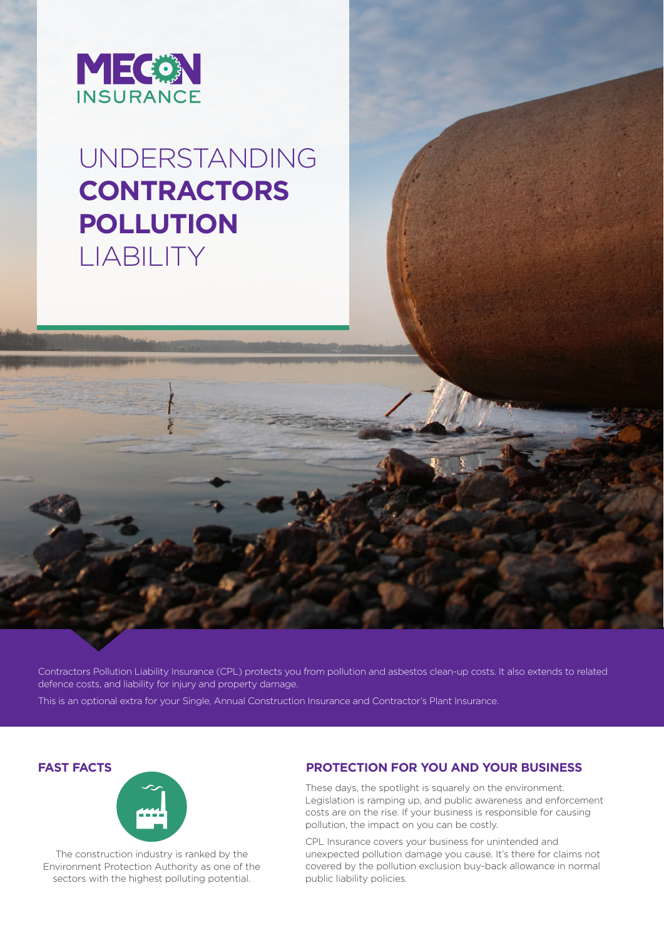

# UNDERSTANDING **CONTRACTORS POLLUTION** LIABILITY

Contractors Pollution Liability Insurance (CPL) protects you from pollution and asbestos clean-up costs. It also extends to related defence costs, and liability for injury and property damage.

This is an optional extra for your Single, Annual Construction Insurance and Contractor's Plant Insurance.



The construction industry is ranked by the Environment Protection Authority as one of the sectors with the highest polluting potential.

# **FAST FACTS PROTECTION FOR YOU AND YOUR BUSINESS**

These days, the spotlight is squarely on the environment. Legislation is ramping up, and public awareness and enforcement costs are on the rise. If your business is responsible for causing pollution, the impact on you can be costly.

CPL Insurance covers your business for unintended and unexpected pollution damage you cause. It's there for claims not covered by the pollution exclusion buy-back allowance in normal public liability policies.